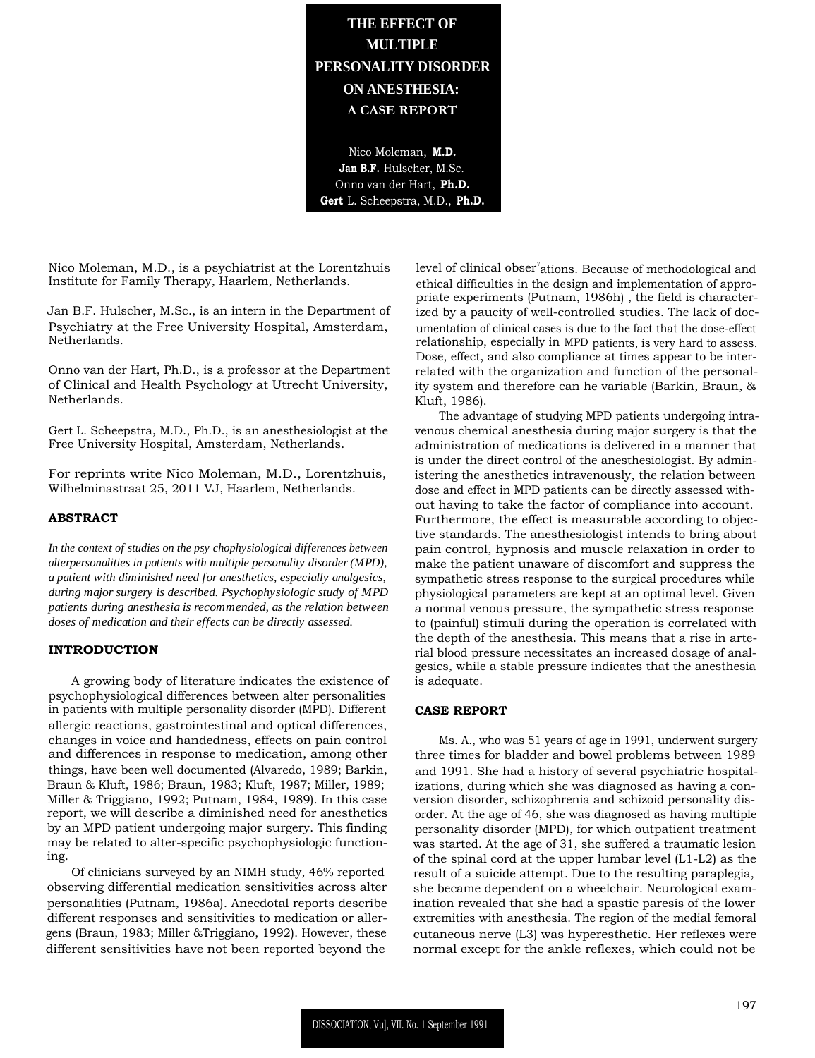**THE EFFECT OF MULTIPLE PERSONALITY DISORDER ON ANESTHESIA: A CASE REPORT**

Nico Moleman, **M.D. Jan B.F.** Hulscher, M.Sc. Onno van der Hart, **Ph.D. Gert** L. Scheepstra, M.D., **Ph.D.**

Nico Moleman, M.D., is a psychiatrist at the Lorentzhuis Institute for Family Therapy, Haarlem, Netherlands.

Jan B.F. Hulscher, M.Sc., is an intern in the Department of Psychiatry at the Free University Hospital, Amsterdam, Netherlands.

Onno van der Hart, Ph.D., is a professor at the Department of Clinical and Health Psychology at Utrecht University, Netherlands.

Gert L. Scheepstra, M.D., Ph.D., is an anesthesiologist at the Free University Hospital, Amsterdam, Netherlands.

For reprints write Nico Moleman, M.D., Lorentzhuis, Wilhelminastraat 25, 2011 VJ, Haarlem, Netherlands.

## **ABSTRACT**

*In the context of studies on the psy chophysiological differences between alterpersonalities in patients with multiple personality disorder (MPD), a patient with diminished need for anesthetics, especially analgesics, during major surgery is described. Psychophysiologic study of MPD patients during anesthesia is recommended, as the relation between doses of medication and their effects can be directly assessed.*

#### **INTRODUCTION**

A growing body of literature indicates the existence of psychophysiological differences between alter personalities in patients with multiple personality disorder (MPD). Different allergic reactions, gastrointestinal and optical differences, changes in voice and handedness, effects on pain control and differences in response to medication, among other things, have been well documented (Alvaredo, 1989; Barkin, Braun & Kluft, 1986; Braun, 1983; Kluft, 1987; Miller, 1989; Miller & Triggiano, 1992; Putnam, 1984, 1989). In this case report, we will describe a diminished need for anesthetics by an MPD patient undergoing major surgery. This finding may be related to alter-specific psychophysiologic functioning.

Of clinicians surveyed by an NIMH study, 46% reported observing differential medication sensitivities across alter personalities (Putnam, 1986a). Anecdotal reports describe different responses and sensitivities to medication or allergens (Braun, 1983; Miller &Triggiano, 1992). However, these different sensitivities have not been reported beyond the

level of clinical obser<sup>v</sup>ations. Because of methodological and ethical difficulties in the design and implementation of appropriate experiments (Putnam, 1986h) , the field is characterized by a paucity of well-controlled studies. The lack of documentation of clinical cases is due to the fact that the dose-effect relationship, especially in MPD patients, is very hard to assess. Dose, effect, and also compliance at times appear to be interrelated with the organization and function of the personality system and therefore can he variable (Barkin, Braun, & Kluft, 1986).

The advantage of studying MPD patients undergoing intravenous chemical anesthesia during major surgery is that the administration of medications is delivered in a manner that is under the direct control of the anesthesiologist. By administering the anesthetics intravenously, the relation between dose and effect in MPD patients can be directly assessed without having to take the factor of compliance into account. Furthermore, the effect is measurable according to objective standards. The anesthesiologist intends to bring about pain control, hypnosis and muscle relaxation in order to make the patient unaware of discomfort and suppress the sympathetic stress response to the surgical procedures while physiological parameters are kept at an optimal level. Given a normal venous pressure, the sympathetic stress response to (painful) stimuli during the operation is correlated with the depth of the anesthesia. This means that a rise in arterial blood pressure necessitates an increased dosage of analgesics, while a stable pressure indicates that the anesthesia is adequate.

## **CASE REPORT**

Ms. A., who was 51 years of age in 1991, underwent surgery three times for bladder and bowel problems between 1989 and 1991. She had a history of several psychiatric hospitalizations, during which she was diagnosed as having a conversion disorder, schizophrenia and schizoid personality disorder. At the age of 46, she was diagnosed as having multiple personality disorder (MPD), for which outpatient treatment was started. At the age of 31, she suffered a traumatic lesion of the spinal cord at the upper lumbar level (L1-L2) as the result of a suicide attempt. Due to the resulting paraplegia, she became dependent on a wheelchair. Neurological examination revealed that she had a spastic paresis of the lower extremities with anesthesia. The region of the medial femoral cutaneous nerve (L3) was hyperesthetic. Her reflexes were normal except for the ankle reflexes, which could not be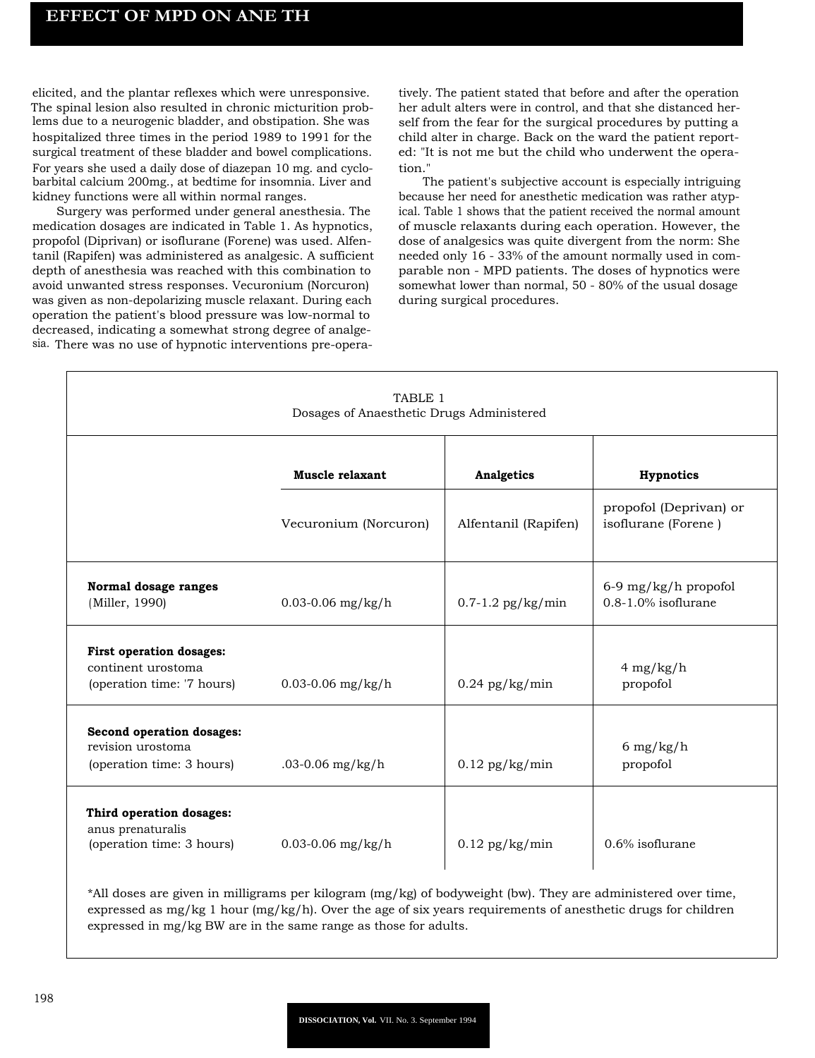elicited, and the plantar reflexes which were unresponsive. The spinal lesion also resulted in chronic micturition problems due to a neurogenic bladder, and obstipation. She was hospitalized three times in the period 1989 to 1991 for the surgical treatment of these bladder and bowel complications. For years she used a daily dose of diazepan 10 mg. and cyclobarbital calcium 200mg., at bedtime for insomnia. Liver and kidney functions were all within normal ranges.

Surgery was performed under general anesthesia. The medication dosages are indicated in Table 1. As hypnotics, propofol (Diprivan) or isoflurane (Forene) was used. Alfentanil (Rapifen) was administered as analgesic. A sufficient depth of anesthesia was reached with this combination to avoid unwanted stress responses. Vecuronium (Norcuron) was given as non-depolarizing muscle relaxant. During each operation the patient's blood pressure was low-normal to decreased, indicating a somewhat strong degree of analgesia. There was no use of hypnotic interventions pre-operatively. The patient stated that before and after the operation her adult alters were in control, and that she distanced herself from the fear for the surgical procedures by putting a child alter in charge. Back on the ward the patient reported: "It is not me but the child who underwent the operation."

The patient's subjective account is especially intriguing because her need for anesthetic medication was rather atypical. Table 1 shows that the patient received the normal amount of muscle relaxants during each operation. However, the dose of analgesics was quite divergent from the norm: She needed only 16 - 33% of the amount normally used in comparable non - MPD patients. The doses of hypnotics were somewhat lower than normal, 50 - 80% of the usual dosage during surgical procedures.

| TABLE 1<br>Dosages of Anaesthetic Drugs Administered                                |                       |                       |                                               |
|-------------------------------------------------------------------------------------|-----------------------|-----------------------|-----------------------------------------------|
|                                                                                     | Muscle relaxant       | Analgetics            | Hypnotics                                     |
|                                                                                     | Vecuronium (Norcuron) | Alfentanil (Rapifen)  | propofol (Deprivan) or<br>isoflurane (Forene) |
| Normal dosage ranges<br>(Miller, 1990)                                              | $0.03 - 0.06$ mg/kg/h | $0.7 - 1.2$ pg/kg/min | $6-9$ mg/kg/h propofol<br>0.8-1.0% isoflurane |
| <b>First operation dosages:</b><br>continent urostoma<br>(operation time: '7 hours) | $0.03 - 0.06$ mg/kg/h | $0.24$ pg/kg/min      | $4$ mg/kg/h<br>propofol                       |
| Second operation dosages:<br>revision urostoma<br>(operation time: 3 hours)         | .03-0.06 $mg/kg/h$    | $0.12$ pg/kg/min      | 6 mg/kg/h<br>propofol                         |
| Third operation dosages:<br>anus prenaturalis<br>(operation time: 3 hours)          | $0.03 - 0.06$ mg/kg/h | $0.12$ pg/kg/min      | $0.6\%$ isoflurane                            |

\*All doses are given in milligrams per kilogram (mg/kg) of bodyweight (bw). They are administered over time, expressed as mg/kg 1 hour  $(mg/kg/h)$ . Over the age of six years requirements of anesthetic drugs for children expressed in mg/kg BW are in the same range as those for adults.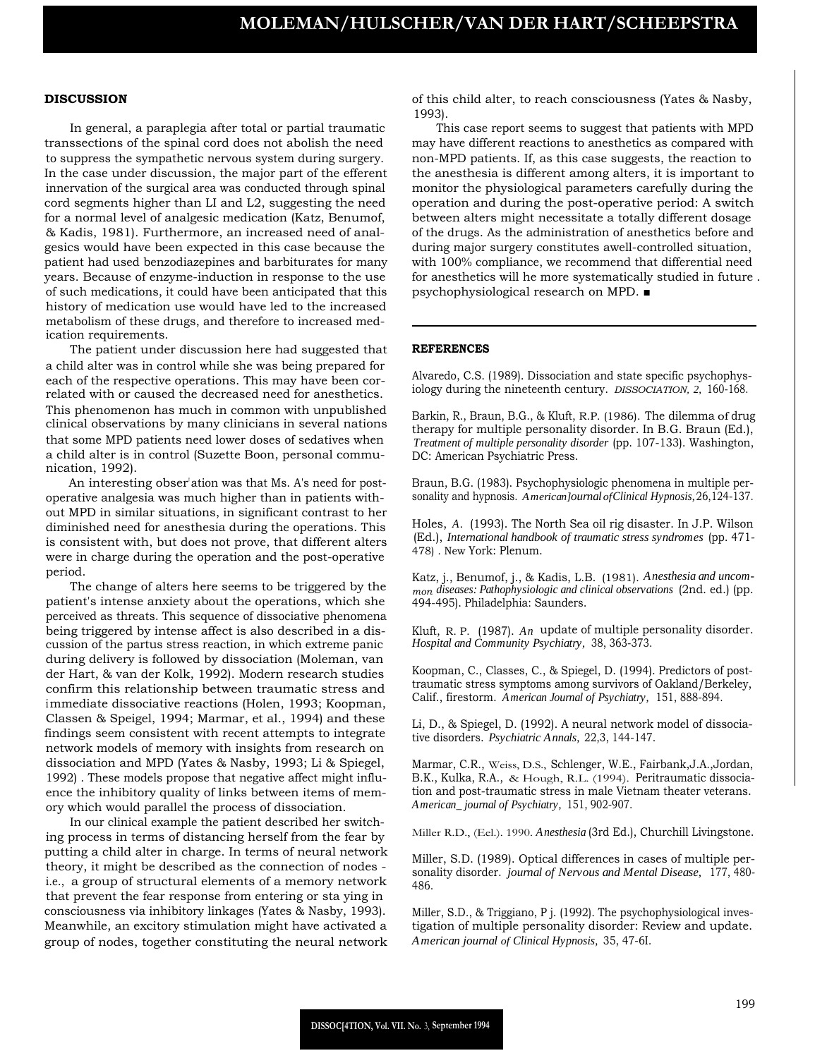### **DISCUSSION**

In general, a paraplegia after total or partial traumatic transsections of the spinal cord does not abolish the need to suppress the sympathetic nervous system during surgery. In the case under discussion, the major part of the efferent innervation of the surgical area was conducted through spinal cord segments higher than LI and L2, suggesting the need for a normal level of analgesic medication (Katz, Benumof, & Kadis, 1981). Furthermore, an increased need of analgesics would have been expected in this case because the patient had used benzodiazepines and barbiturates for many years. Because of enzyme-induction in response to the use of such medications, it could have been anticipated that this history of medication use would have led to the increased metabolism of these drugs, and therefore to increased medication requirements.

The patient under discussion here had suggested that a child alter was in control while she was being prepared for each of the respective operations. This may have been correlated with or caused the decreased need for anesthetics. This phenomenon has much in common with unpublished clinical observations by many clinicians in several nations that some MPD patients need lower doses of sedatives when a child alter is in control (Suzette Boon, personal communication, 1992).

An interesting obser ation was that Ms. A's need for postoperative analgesia was much higher than in patients without MPD in similar situations, in significant contrast to her diminished need for anesthesia during the operations. This is consistent with, but does not prove, that different alters were in charge during the operation and the post-operative period.

The change of alters here seems to be triggered by the patient's intense anxiety about the operations, which she perceived as threats. This sequence of dissociative phenomena being triggered by intense affect is also described in a discussion of the partus stress reaction, in which extreme panic during delivery is followed by dissociation (Moleman, van der Hart, & van der Kolk, 1992). Modern research studies confirm this relationship between traumatic stress and immediate dissociative reactions (Holen, 1993; Koopman, Classen & Speigel, 1994; Marmar, et al., 1994) and these findings seem consistent with recent attempts to integrate network models of memory with insights from research on dissociation and MPD (Yates & Nasby, 1993; Li & Spiegel, 1992) . These models propose that negative affect might influence the inhibitory quality of links between items of memory which would parallel the process of dissociation.

In our clinical example the patient described her switching process in terms of distancing herself from the fear by putting a child alter in charge. In terms of neural network theory, it might be described as the connection of nodes i.e., a group of structural elements of a memory network that prevent the fear response from entering or sta ying in consciousness via inhibitory linkages (Yates & Nasby, 1993). Meanwhile, an excitory stimulation might have activated a group of nodes, together constituting the neural network

of this child alter, to reach consciousness (Yates & Nasby, 1993).

This case report seems to suggest that patients with MPD may have different reactions to anesthetics as compared with non-MPD patients. If, as this case suggests, the reaction to the anesthesia is different among alters, it is important to monitor the physiological parameters carefully during the operation and during the post-operative period: A switch between alters might necessitate a totally different dosage of the drugs. As the administration of anesthetics before and during major surgery constitutes awell-controlled situation, with 100% compliance, we recommend that differential need for anesthetics will he more systematically studied in future . psychophysiological research on MPD. ■

### **REFERENCES**

Alvaredo, C.S. (1989). Dissociation and state specific psychophysiology during the nineteenth century. *DISSOCIATION, 2,* 160-168.

Barkin, R., Braun, B.G., & Kluft, R.P. (1986). The dilemma of drug therapy for multiple personality disorder. In B.G. Braun (Ed.), *Treatment of multiple personality disorder* (pp. 107-133). Washington, DC: American Psychiatric Press.

Braun, B.G. (1983). Psychophysiologic phenomena in multiple personality and hypnosis. *American]ournal ofClinical Hypnosis,*26,124-137.

Holes, *A.* (1993). The North Sea oil rig disaster. In J.P. Wilson (Ed.), *International handbook of traumatic stress syndromes* (pp. 471- 478) . New York: Plenum.

Katz, j., Benumof, j., & Kadis, L.B. (1981). *Anesthesia and uncommon diseases: Pathophysiologic and clinical observations* (2nd. ed.) (pp. 494-495). Philadelphia: Saunders.

Kluft, R. P. (1987). *An* update of multiple personality disorder. *Hospital and Community Psychiatry,* 38, 363-373.

Koopman, C., Classes, C., & Spiegel, D. (1994). Predictors of posttraumatic stress symptoms among survivors of Oakland/Berkeley, Calif., firestorm. *American Journal of Psychiatry,* 151, 888-894.

Li, D., & Spiegel, D. (1992). A neural network model of dissociative disorders. *Psychiatric Annals,* 22,3, 144-147.

Marmar, C.R., Weiss, D.S., Schlenger, W.E., Fairbank,J.A.,Jordan, B.K., Kulka, R.A., & Hough, R.L. (1994). Peritraumatic dissociation and post-traumatic stress in male Vietnam theater veterans. *American\_ journal of Psychiatry,* 151, 902-907.

Miller R.D., (Eel.). 1990. *Anesthesia* (3rd Ed.), Churchill Livingstone.

Miller, S.D. (1989). Optical differences in cases of multiple personality disorder. *journal of Nervous and Mental Disease,* 177, 480- 486.

Miller, S.D., & Triggiano, P j. (1992). The psychophysiological investigation of multiple personality disorder: Review and update. *American journal of Clinical Hypnosis,* 35, 47-6I.